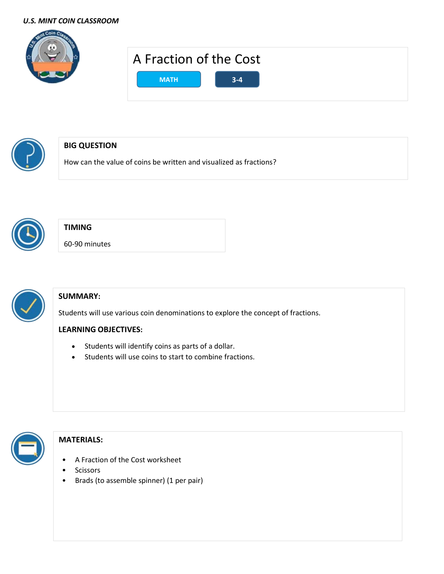#### *U.S. MINT COIN CLASSROOM*





# **BIG QUESTION**

How can the value of coins be written and visualized as fractions?



# **TIMING**

60-90 minutes



# **SUMMARY:**

Students will use various coin denominations to explore the concept of fractions.

# **LEARNING OBJECTIVES:**

- Students will identify coins as parts of a dollar.
- Students will use coins to start to combine fractions.



# **MATERIALS:**

- A Fraction of the Cost worksheet
- Scissors
- Brads (to assemble spinner) (1 per pair)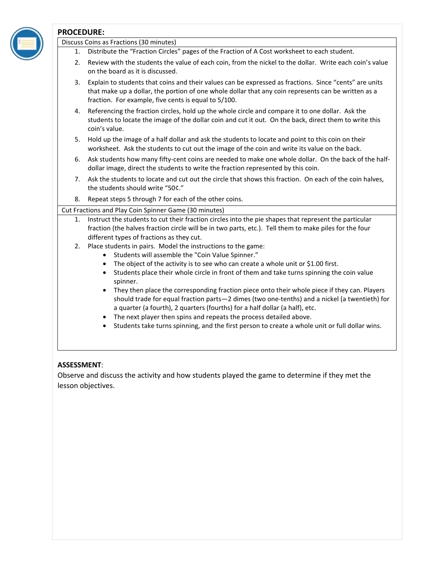#### **PROCEDURE:** Discuss Coins as Fractions (30 minutes)

- 1. Distribute the "Fraction Circles" pages of the Fraction of A Cost worksheet to each student.
- 2. Review with the students the value of each coin, from the nickel to the dollar. Write each coin's value on the board as it is discussed.
- 3. Explain to students that coins and their values can be expressed as fractions. Since "cents" are units that make up a dollar, the portion of one whole dollar that any coin represents can be written as a fraction. For example, five cents is equal to 5/100.
- 4. Referencing the fraction circles, hold up the whole circle and compare it to one dollar. Ask the students to locate the image of the dollar coin and cut it out. On the back, direct them to write this coin's value.
- 5. Hold up the image of a half dollar and ask the students to locate and point to this coin on their worksheet. Ask the students to cut out the image of the coin and write its value on the back.
- 6. Ask students how many fifty-cent coins are needed to make one whole dollar. On the back of the halfdollar image, direct the students to write the fraction represented by this coin.
- 7. Ask the students to locate and cut out the circle that shows this fraction. On each of the coin halves, the students should write "50¢."
- 8. Repeat steps 5 through 7 for each of the other coins.

#### Cut Fractions and Play Coin Spinner Game (30 minutes)

- 1. Instruct the students to cut their fraction circles into the pie shapes that represent the particular fraction (the halves fraction circle will be in two parts, etc.). Tell them to make piles for the four different types of fractions as they cut.
- 2. Place students in pairs. Model the instructions to the game:
	- Students will assemble the "Coin Value Spinner."
	- The object of the activity is to see who can create a whole unit or \$1.00 first.
	- Students place their whole circle in front of them and take turns spinning the coin value spinner.
	- They then place the corresponding fraction piece onto their whole piece if they can. Players should trade for equal fraction parts—2 dimes (two one-tenths) and a nickel (a twentieth) for a quarter (a fourth), 2 quarters (fourths) for a half dollar (a half), etc.
	- The next player then spins and repeats the process detailed above.
	- Students take turns spinning, and the first person to create a whole unit or full dollar wins.

#### **ASSESSMENT**:

Observe and discuss the activity and how students played the game to determine if they met the lesson objectives.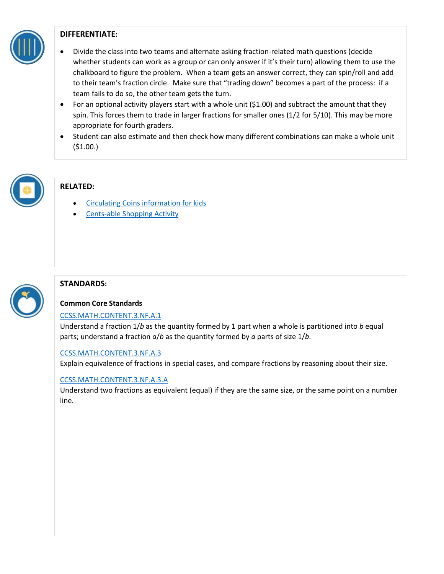

## **DIFFERENTIATE:**

- Divide the class into two teams and alternate asking fraction-related math questions (decide whether students can work as a group or can only answer if it's their turn) allowing them to use the chalkboard to figure the problem. When a team gets an answer correct, they can spin/roll and add to their team's fraction circle. Make sure that "trading down" becomes a part of the process: if a team fails to do so, the other team gets the turn.
- For an optional activity players start with a whole unit (\$1.00) and subtract the amount that they spin. This forces them to trade in larger fractions for smaller ones (1/2 for 5/10). This may be more appropriate for fourth graders.
- Student can also estimate and then check how many different combinations can make a whole unit  $(51.00.)$



# **RELATED:**

- [Circulating Coins information for kids](https://www.usmint.gov/learn/kids/games/counting-with-coins)
- **[Cents-able Shopping Activity](https://www.usmint.gov/learn/kids/resources/coin-activities/cents-able-shopping)**



# **STANDARDS:**

### **Common Core Standards**

### [CCSS.MATH.CONTENT.3.NF.A.1](http://www.corestandards.org/Math/Content/3/NF/A/1/)

Understand a fraction 1/*b* as the quantity formed by 1 part when a whole is partitioned into *b* equal parts; understand a fraction *a*/*b* as the quantity formed by *a* parts of size 1/*b*.

### [CCSS.MATH.CONTENT.3.NF.A.3](http://www.corestandards.org/Math/Content/3/NF/A/3/)

Explain equivalence of fractions in special cases, and compare fractions by reasoning about their size.

### [CCSS.MATH.CONTENT.3.NF.A.3.A](http://www.corestandards.org/Math/Content/3/NF/A/3/a/)

Understand two fractions as equivalent (equal) if they are the same size, or the same point on a number line.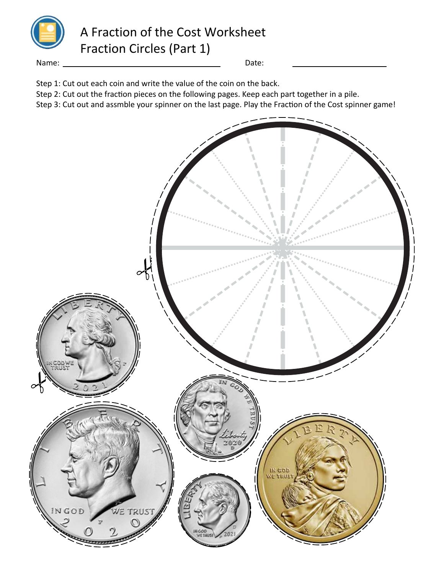

A Fraction of the Cost Worksheet Fraction Circles (Part 1)

Name: Date:

Step 1: Cut out each coin and write the value of the coin on the back.

Step 2: Cut out the fraction pieces on the following pages. Keep each part together in a pile.

Step 3: Cut out and assmble your spinner on the last page. Play the Fraction of the Cost spinner game!

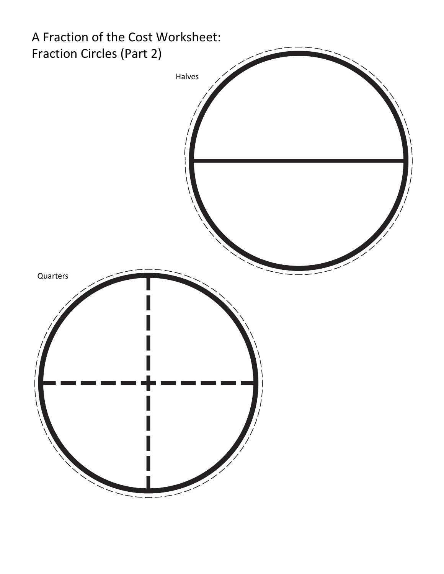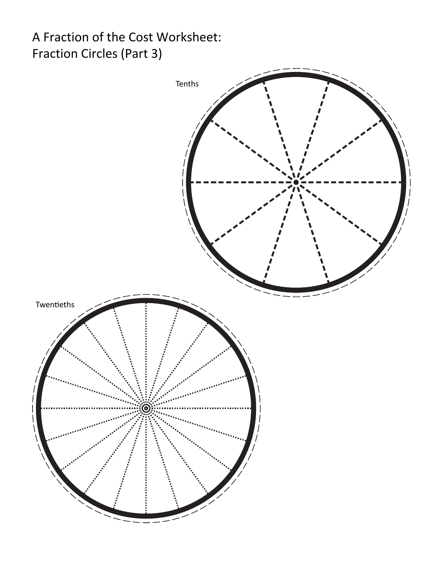# A Fraction of the Cost Worksheet: Fraction Circles (Part 3)